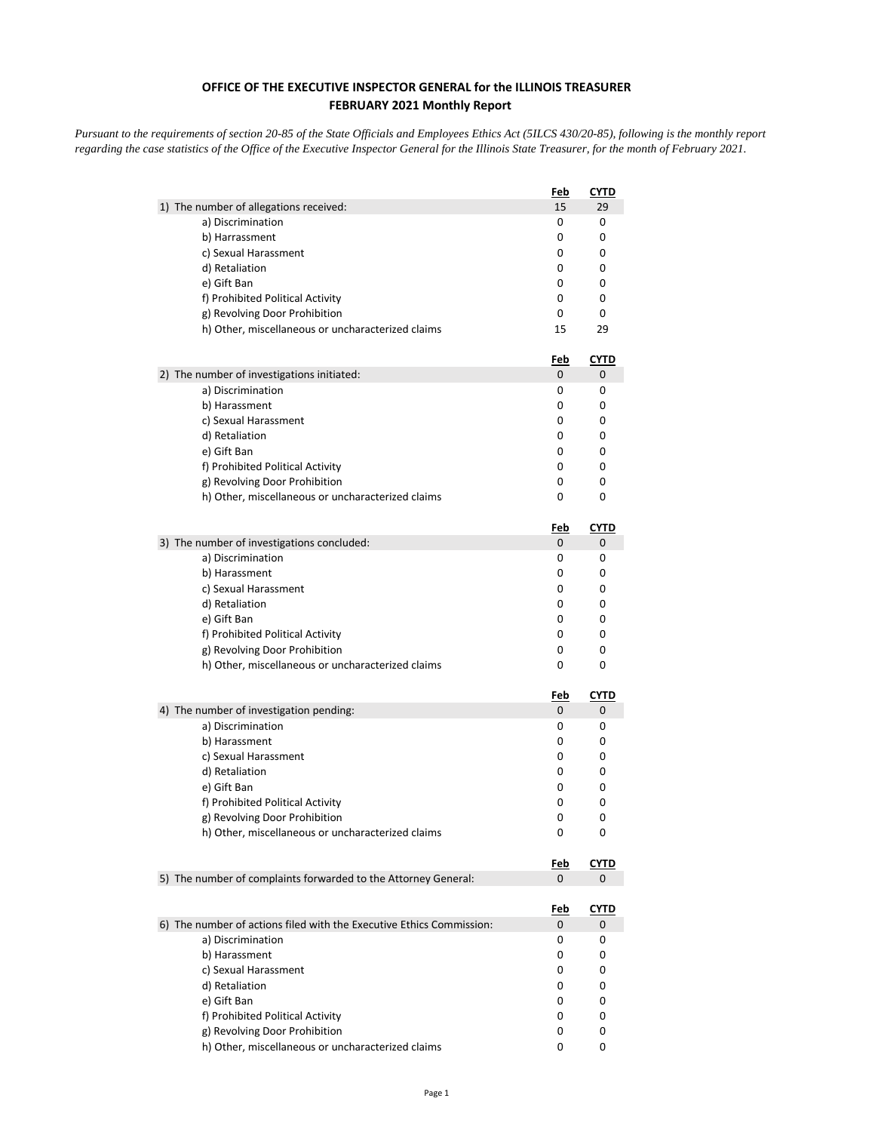## **OFFICE OF THE EXECUTIVE INSPECTOR GENERAL for the ILLINOIS TREASURER FEBRUARY 2021 Monthly Report**

*Pursuant to the requirements of section 20-85 of the State Officials and Employees Ethics Act (5ILCS 430/20-85), following is the monthly report regarding the case statistics of the Office of the Executive Inspector General for the Illinois State Treasurer, for the month of February 2021.* 

|                                                                      | Feb             | <u>CYTD</u> |
|----------------------------------------------------------------------|-----------------|-------------|
| 1) The number of allegations received:                               | 15              | 29          |
| a) Discrimination                                                    | 0               | 0           |
| b) Harrassment                                                       | 0               | 0           |
| c) Sexual Harassment                                                 | 0               | 0           |
| d) Retaliation                                                       | 0               | 0           |
| e) Gift Ban                                                          | 0               | 0           |
| f) Prohibited Political Activity                                     | 0               | 0           |
| g) Revolving Door Prohibition                                        | 0               | 0           |
| h) Other, miscellaneous or uncharacterized claims                    | 15              | 29          |
|                                                                      | Feb             | <b>CYTD</b> |
| 2) The number of investigations initiated:                           | 0               | 0           |
| a) Discrimination                                                    | 0               | 0           |
| b) Harassment                                                        | 0               | 0           |
| c) Sexual Harassment                                                 | 0               | 0           |
| d) Retaliation                                                       | 0               | 0           |
| e) Gift Ban                                                          | 0               | 0           |
| f) Prohibited Political Activity                                     | 0               | 0           |
| g) Revolving Door Prohibition                                        | 0               | 0           |
| h) Other, miscellaneous or uncharacterized claims                    | 0               | 0           |
|                                                                      | <u>Feb</u>      | CYTD        |
| 3) The number of investigations concluded:                           | 0               | 0           |
| a) Discrimination                                                    | 0               | 0           |
| b) Harassment                                                        | 0               | 0           |
| c) Sexual Harassment                                                 | 0               | 0           |
| d) Retaliation                                                       | 0               | 0           |
| e) Gift Ban                                                          | 0               | 0           |
| f) Prohibited Political Activity                                     | 0               | 0           |
| g) Revolving Door Prohibition                                        | 0               | 0           |
| h) Other, miscellaneous or uncharacterized claims                    | 0               | 0           |
|                                                                      | <u>Feb</u>      | <u>CYTD</u> |
| 4) The number of investigation pending:                              | 0               | 0           |
| a) Discrimination                                                    | 0               | 0           |
| b) Harassment                                                        | 0               | 0           |
| c) Sexual Harassment                                                 | 0               | 0           |
| d) Retaliation                                                       | 0               | 0           |
| e) Gift Ban                                                          | 0               | 0           |
| f) Prohibited Political Activity                                     | 0               | 0           |
| g) Revolving Door Prohibition                                        | 0               | 0           |
| h) Other, miscellaneous or uncharacterized claims                    | 0               | 0           |
|                                                                      | <u>Feb</u>      | CYTD        |
| 5) The number of complaints forwarded to the Attorney General:       | 0               | 0           |
|                                                                      |                 |             |
| 6) The number of actions filed with the Executive Ethics Commission: | <u>Feb</u><br>0 | <b>CYTD</b> |
| a) Discrimination                                                    |                 | 0           |
|                                                                      | 0<br>0          | 0<br>0      |
| b) Harassment                                                        |                 |             |
| c) Sexual Harassment                                                 | 0               | 0           |
| d) Retaliation                                                       | 0<br>0          | 0           |
| e) Gift Ban<br>f) Prohibited Political Activity                      | 0               | 0<br>0      |
| g) Revolving Door Prohibition                                        | 0               | 0           |
| h) Other, miscellaneous or uncharacterized claims                    | 0               | 0           |
|                                                                      |                 |             |